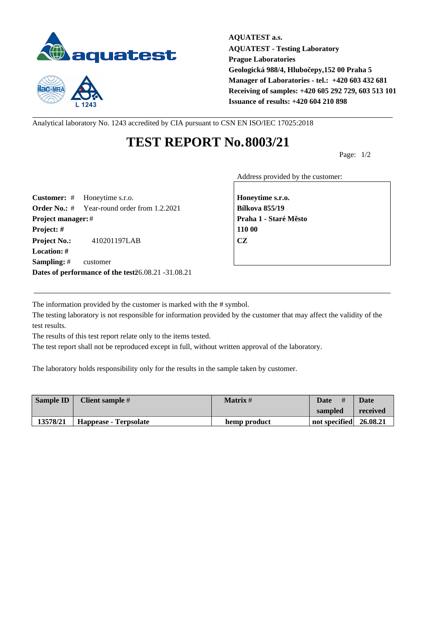



**AQUATEST a.s. AQUATEST - Testing Laboratory Prague Laboratories Geologická 988/4, Hlubočepy,152 00 Praha 5 Manager of Laboratories - tel.: +420 603 432 681 Receiving of samples: +420 605 292 729, 603 513 101 Issuance of results: +420 604 210 898**

Analytical laboratory No. 1243 accredited by CIA pursuant to CSN EN ISO/IEC 17025:2018

## **TEST REPORT No.8003/21**

Page: 1/2

Address provided by the customer:

**Customer:** # Honeytime s.r.o. **Honeytime s.r.o. Order No.:** # Year-round order from 1.2.2021 **Bílkova 855/19 Project manager:** # **Project manager:** # **Praha 1 - Staré M** sto **Project: # 110 00 Project No.:** 410201197LAB **CZ Location: # Sampling:** # customer **Dates of performance of the test26.08.21 -31.08.21** 

The information provided by the customer is marked with the # symbol.

The testing laboratory is not responsible for information provided by the customer that may affect the validity of the test results.

The results of this test report relate only to the items tested.

The test report shall not be reproduced except in full, without written approval of the laboratory.

The laboratory holds responsibility only for the results in the sample taken by customer.

| <b>Sample ID</b> | Client sample #       | Matrix #     | <b>Date</b><br>#       | Date     |
|------------------|-----------------------|--------------|------------------------|----------|
|                  |                       |              | sampled                | received |
| 13578/21         | Happease - Terpsolate | hemp product | not specified 26.08.21 |          |